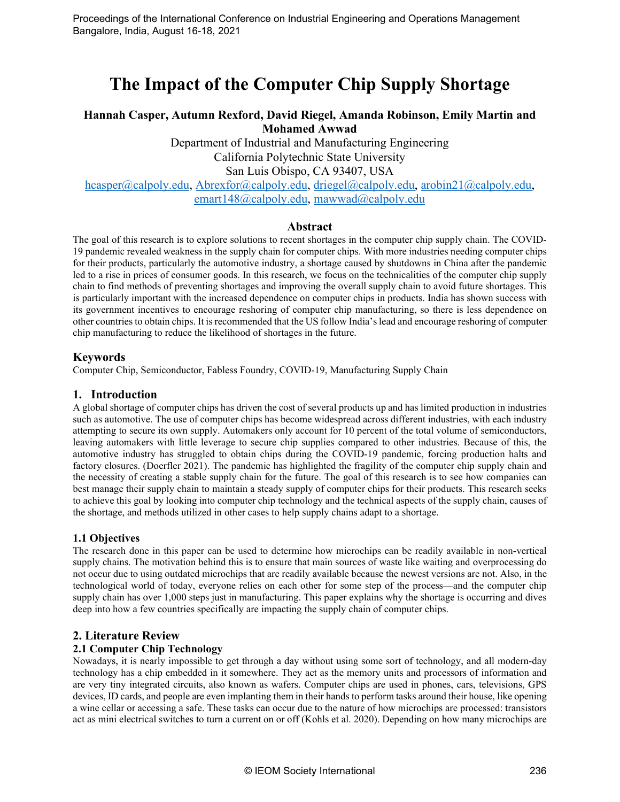# **The Impact of the Computer Chip Supply Shortage**

# **Hannah Casper, Autumn Rexford, David Riegel, Amanda Robinson, Emily Martin and Mohamed Awwad**

Department of Industrial and Manufacturing Engineering California Polytechnic State University San Luis Obispo, CA 93407, USA

[hcasper@calpoly.edu,](mailto:hcasper@calpoly.edu) [Abrexfor@calpoly.edu,](mailto:Abrexfor@calpoly.edu) [driegel@calpoly.edu,](mailto:driegel@calpoly.edu) [arobin21@calpoly.edu,](mailto:arobin21@calpoly.edu) [emart148@calpoly.edu,](mailto:emart148@calpoly.edu) mawwad@calpoly.edu

## **Abstract**

The goal of this research is to explore solutions to recent shortages in the computer chip supply chain. The COVID-19 pandemic revealed weakness in the supply chain for computer chips. With more industries needing computer chips for their products, particularly the automotive industry, a shortage caused by shutdowns in China after the pandemic led to a rise in prices of consumer goods. In this research, we focus on the technicalities of the computer chip supply chain to find methods of preventing shortages and improving the overall supply chain to avoid future shortages. This is particularly important with the increased dependence on computer chips in products. India has shown success with its government incentives to encourage reshoring of computer chip manufacturing, so there is less dependence on other countries to obtain chips. It is recommended that the US follow India's lead and encourage reshoring of computer chip manufacturing to reduce the likelihood of shortages in the future.

## **Keywords**

Computer Chip, Semiconductor, Fabless Foundry, COVID-19, Manufacturing Supply Chain

## **1. Introduction**

A global shortage of computer chips has driven the cost of several products up and has limited production in industries such as automotive. The use of computer chips has become widespread across different industries, with each industry attempting to secure its own supply. Automakers only account for 10 percent of the total volume of semiconductors, leaving automakers with little leverage to secure chip supplies compared to other industries. Because of this, the automotive industry has struggled to obtain chips during the COVID-19 pandemic, forcing production halts and factory closures. (Doerfler 2021). The pandemic has highlighted the fragility of the computer chip supply chain and the necessity of creating a stable supply chain for the future. The goal of this research is to see how companies can best manage their supply chain to maintain a steady supply of computer chips for their products. This research seeks to achieve this goal by looking into computer chip technology and the technical aspects of the supply chain, causes of the shortage, and methods utilized in other cases to help supply chains adapt to a shortage.

## **1.1 Objectives**

The research done in this paper can be used to determine how microchips can be readily available in non-vertical supply chains. The motivation behind this is to ensure that main sources of waste like waiting and overprocessing do not occur due to using outdated microchips that are readily available because the newest versions are not. Also, in the technological world of today, everyone relies on each other for some step of the process—and the computer chip supply chain has over 1,000 steps just in manufacturing. This paper explains why the shortage is occurring and dives deep into how a few countries specifically are impacting the supply chain of computer chips.

## **2. Literature Review**

#### **2.1 Computer Chip Technology**

Nowadays, it is nearly impossible to get through a day without using some sort of technology, and all modern-day technology has a chip embedded in it somewhere. They act as the memory units and processors of information and are very tiny integrated circuits, also known as wafers. Computer chips are used in phones, cars, televisions, GPS devices, ID cards, and people are even implanting them in their hands to perform tasks around their house, like opening a wine cellar or accessing a safe. These tasks can occur due to the nature of how microchips are processed: transistors act as mini electrical switches to turn a current on or off (Kohls et al. 2020). Depending on how many microchips are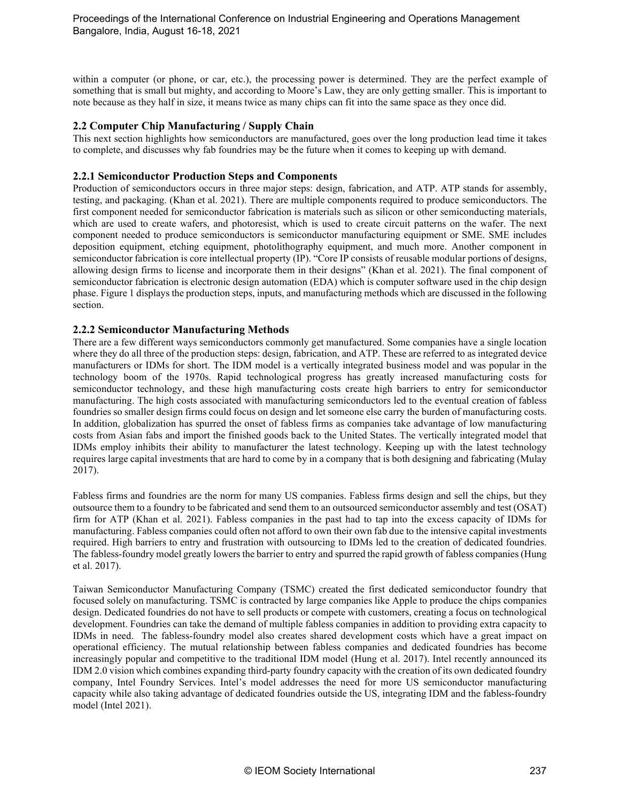within a computer (or phone, or car, etc.), the processing power is determined. They are the perfect example of something that is small but mighty, and according to Moore's Law, they are only getting smaller. This is important to note because as they half in size, it means twice as many chips can fit into the same space as they once did.

## **2.2 Computer Chip Manufacturing / Supply Chain**

This next section highlights how semiconductors are manufactured, goes over the long production lead time it takes to complete, and discusses why fab foundries may be the future when it comes to keeping up with demand.

### **2.2.1 Semiconductor Production Steps and Components**

Production of semiconductors occurs in three major steps: design, fabrication, and ATP. ATP stands for assembly, testing, and packaging. (Khan et al. 2021). There are multiple components required to produce semiconductors. The first component needed for semiconductor fabrication is materials such as silicon or other semiconducting materials, which are used to create wafers, and photoresist, which is used to create circuit patterns on the wafer. The next component needed to produce semiconductors is semiconductor manufacturing equipment or SME. SME includes deposition equipment, etching equipment, photolithography equipment, and much more. Another component in semiconductor fabrication is core intellectual property (IP). "Core IP consists of reusable modular portions of designs, allowing design firms to license and incorporate them in their designs" (Khan et al. 2021). The final component of semiconductor fabrication is electronic design automation (EDA) which is computer software used in the chip design phase. Figure 1 displays the production steps, inputs, and manufacturing methods which are discussed in the following section.

#### **2.2.2 Semiconductor Manufacturing Methods**

There are a few different ways semiconductors commonly get manufactured. Some companies have a single location where they do all three of the production steps: design, fabrication, and ATP. These are referred to as integrated device manufacturers or IDMs for short. The IDM model is a vertically integrated business model and was popular in the technology boom of the 1970s. Rapid technological progress has greatly increased manufacturing costs for semiconductor technology, and these high manufacturing costs create high barriers to entry for semiconductor manufacturing. The high costs associated with manufacturing semiconductors led to the eventual creation of fabless foundries so smaller design firms could focus on design and let someone else carry the burden of manufacturing costs. In addition, globalization has spurred the onset of fabless firms as companies take advantage of low manufacturing costs from Asian fabs and import the finished goods back to the United States. The vertically integrated model that IDMs employ inhibits their ability to manufacturer the latest technology. Keeping up with the latest technology requires large capital investments that are hard to come by in a company that is both designing and fabricating (Mulay 2017).

Fabless firms and foundries are the norm for many US companies. Fabless firms design and sell the chips, but they outsource them to a foundry to be fabricated and send them to an outsourced semiconductor assembly and test (OSAT) firm for ATP (Khan et al. 2021). Fabless companies in the past had to tap into the excess capacity of IDMs for manufacturing. Fabless companies could often not afford to own their own fab due to the intensive capital investments required. High barriers to entry and frustration with outsourcing to IDMs led to the creation of dedicated foundries. The fabless-foundry model greatly lowers the barrier to entry and spurred the rapid growth of fabless companies(Hung et al. 2017).

Taiwan Semiconductor Manufacturing Company (TSMC) created the first dedicated semiconductor foundry that focused solely on manufacturing. TSMC is contracted by large companies like Apple to produce the chips companies design. Dedicated foundries do not have to sell products or compete with customers, creating a focus on technological development. Foundries can take the demand of multiple fabless companies in addition to providing extra capacity to IDMs in need. The fabless-foundry model also creates shared development costs which have a great impact on operational efficiency. The mutual relationship between fabless companies and dedicated foundries has become increasingly popular and competitive to the traditional IDM model (Hung et al. 2017). Intel recently announced its IDM 2.0 vision which combines expanding third-party foundry capacity with the creation of its own dedicated foundry company, Intel Foundry Services. Intel's model addresses the need for more US semiconductor manufacturing capacity while also taking advantage of dedicated foundries outside the US, integrating IDM and the fabless-foundry model (Intel 2021).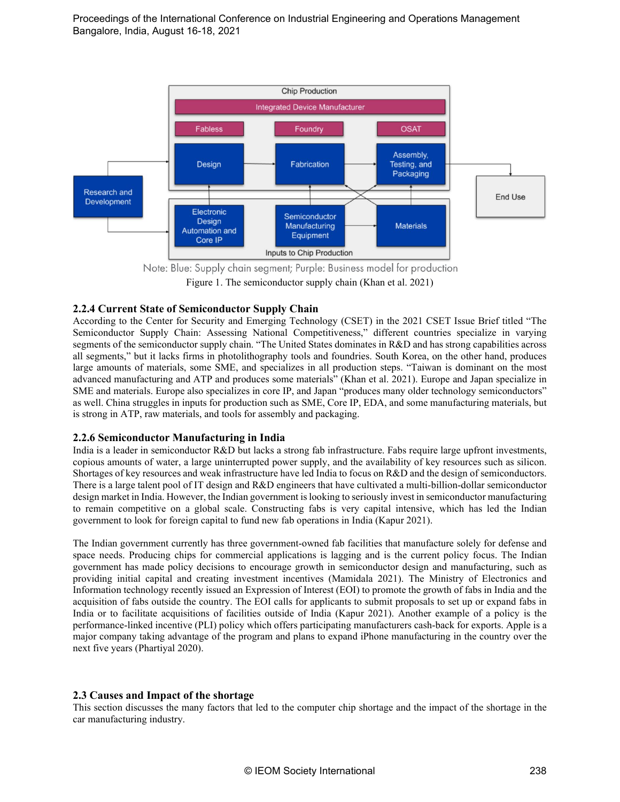

Figure 1. The semiconductor supply chain (Khan et al. 2021)

## **2.2.4 Current State of Semiconductor Supply Chain**

According to the Center for Security and Emerging Technology (CSET) in the 2021 CSET Issue Brief titled "The Semiconductor Supply Chain: Assessing National Competitiveness," different countries specialize in varying segments of the semiconductor supply chain. "The United States dominates in R&D and has strong capabilities across all segments," but it lacks firms in photolithography tools and foundries. South Korea, on the other hand, produces large amounts of materials, some SME, and specializes in all production steps. "Taiwan is dominant on the most advanced manufacturing and ATP and produces some materials" (Khan et al. 2021). Europe and Japan specialize in SME and materials. Europe also specializes in core IP, and Japan "produces many older technology semiconductors" as well. China struggles in inputs for production such as SME, Core IP, EDA, and some manufacturing materials, but is strong in ATP, raw materials, and tools for assembly and packaging.

#### **2.2.6 Semiconductor Manufacturing in India**

India is a leader in semiconductor R&D but lacks a strong fab infrastructure. Fabs require large upfront investments, copious amounts of water, a large uninterrupted power supply, and the availability of key resources such as silicon. Shortages of key resources and weak infrastructure have led India to focus on R&D and the design of semiconductors. There is a large talent pool of IT design and R&D engineers that have cultivated a multi-billion-dollar semiconductor design market in India. However, the Indian government is looking to seriously invest in semiconductor manufacturing to remain competitive on a global scale. Constructing fabs is very capital intensive, which has led the Indian government to look for foreign capital to fund new fab operations in India (Kapur 2021).

The Indian government currently has three government-owned fab facilities that manufacture solely for defense and space needs. Producing chips for commercial applications is lagging and is the current policy focus. The Indian government has made policy decisions to encourage growth in semiconductor design and manufacturing, such as providing initial capital and creating investment incentives (Mamidala 2021). The Ministry of Electronics and Information technology recently issued an Expression of Interest (EOI) to promote the growth of fabs in India and the acquisition of fabs outside the country. The EOI calls for applicants to submit proposals to set up or expand fabs in India or to facilitate acquisitions of facilities outside of India (Kapur 2021). Another example of a policy is the performance-linked incentive (PLI) policy which offers participating manufacturers cash-back for exports. Apple is a major company taking advantage of the program and plans to expand iPhone manufacturing in the country over the next five years (Phartiyal 2020).

#### **2.3 Causes and Impact of the shortage**

This section discusses the many factors that led to the computer chip shortage and the impact of the shortage in the car manufacturing industry.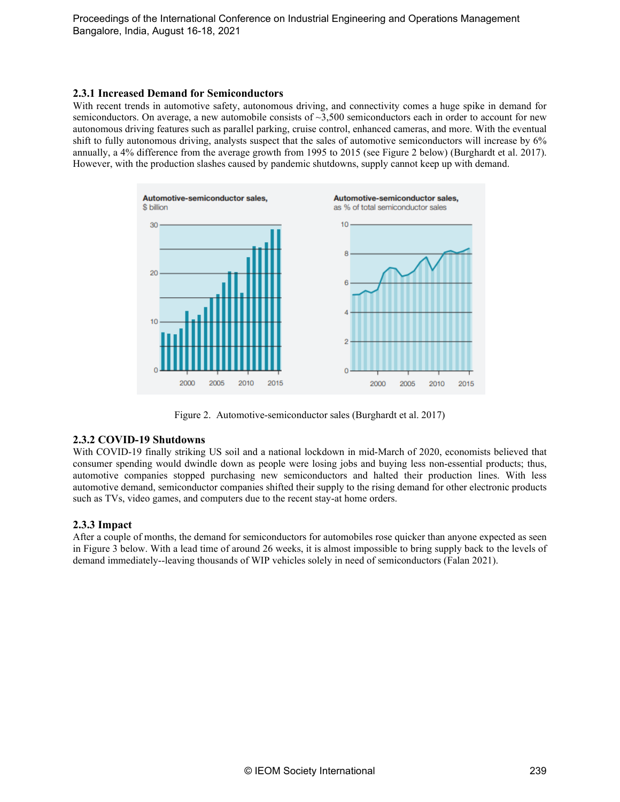#### **2.3.1 Increased Demand for Semiconductors**

With recent trends in automotive safety, autonomous driving, and connectivity comes a huge spike in demand for semiconductors. On average, a new automobile consists of  $\sim$ 3,500 semiconductors each in order to account for new autonomous driving features such as parallel parking, cruise control, enhanced cameras, and more. With the eventual shift to fully autonomous driving, analysts suspect that the sales of automotive semiconductors will increase by 6% annually, a 4% difference from the average growth from 1995 to 2015 (see Figure 2 below) (Burghardt et al. 2017). However, with the production slashes caused by pandemic shutdowns, supply cannot keep up with demand.



Figure 2. Automotive-semiconductor sales (Burghardt et al. 2017)

#### **2.3.2 COVID-19 Shutdowns**

With COVID-19 finally striking US soil and a national lockdown in mid-March of 2020, economists believed that consumer spending would dwindle down as people were losing jobs and buying less non-essential products; thus, automotive companies stopped purchasing new semiconductors and halted their production lines. With less automotive demand, semiconductor companies shifted their supply to the rising demand for other electronic products such as TVs, video games, and computers due to the recent stay-at home orders.

#### **2.3.3 Impact**

After a couple of months, the demand for semiconductors for automobiles rose quicker than anyone expected as seen in Figure 3 below. With a lead time of around 26 weeks, it is almost impossible to bring supply back to the levels of demand immediately--leaving thousands of WIP vehicles solely in need of semiconductors (Falan 2021).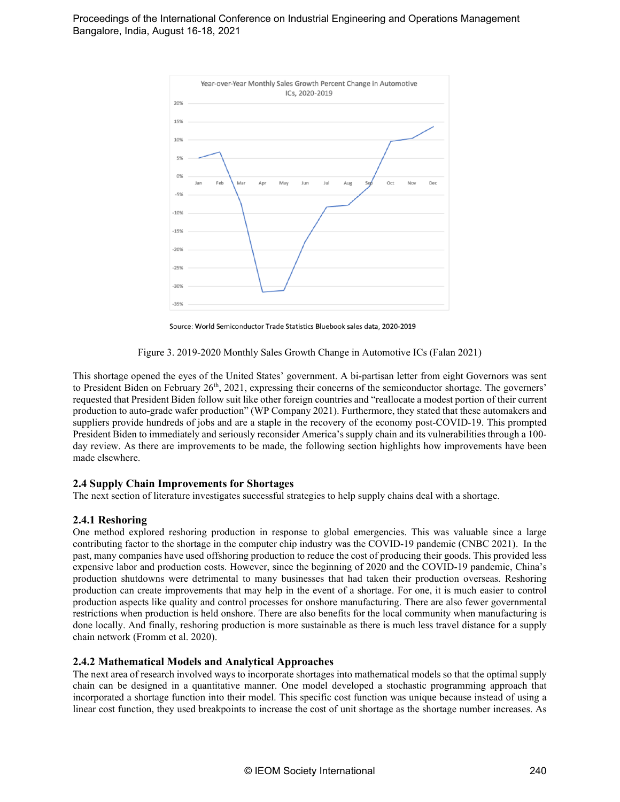

Source: World Semiconductor Trade Statistics Bluebook sales data, 2020-2019

Figure 3. 2019-2020 Monthly Sales Growth Change in Automotive ICs (Falan 2021)

This shortage opened the eyes of the United States' government. A bi-partisan letter from eight Governors was sent to President Biden on February  $26<sup>th</sup>$ ,  $2021$ , expressing their concerns of the semiconductor shortage. The governers' requested that President Biden follow suit like other foreign countries and "reallocate a modest portion of their current production to auto-grade wafer production" (WP Company 2021). Furthermore, they stated that these automakers and suppliers provide hundreds of jobs and are a staple in the recovery of the economy post-COVID-19. This prompted President Biden to immediately and seriously reconsider America's supply chain and its vulnerabilities through a 100 day review. As there are improvements to be made, the following section highlights how improvements have been made elsewhere.

#### **2.4 Supply Chain Improvements for Shortages**

The next section of literature investigates successful strategies to help supply chains deal with a shortage.

#### **2.4.1 Reshoring**

One method explored reshoring production in response to global emergencies. This was valuable since a large contributing factor to the shortage in the computer chip industry was the COVID-19 pandemic (CNBC 2021). In the past, many companies have used offshoring production to reduce the cost of producing their goods. This provided less expensive labor and production costs. However, since the beginning of 2020 and the COVID-19 pandemic, China's production shutdowns were detrimental to many businesses that had taken their production overseas. Reshoring production can create improvements that may help in the event of a shortage. For one, it is much easier to control production aspects like quality and control processes for onshore manufacturing. There are also fewer governmental restrictions when production is held onshore. There are also benefits for the local community when manufacturing is done locally. And finally, reshoring production is more sustainable as there is much less travel distance for a supply chain network (Fromm et al. 2020).

#### **2.4.2 Mathematical Models and Analytical Approaches**

The next area of research involved ways to incorporate shortages into mathematical models so that the optimal supply chain can be designed in a quantitative manner. One model developed a stochastic programming approach that incorporated a shortage function into their model. This specific cost function was unique because instead of using a linear cost function, they used breakpoints to increase the cost of unit shortage as the shortage number increases. As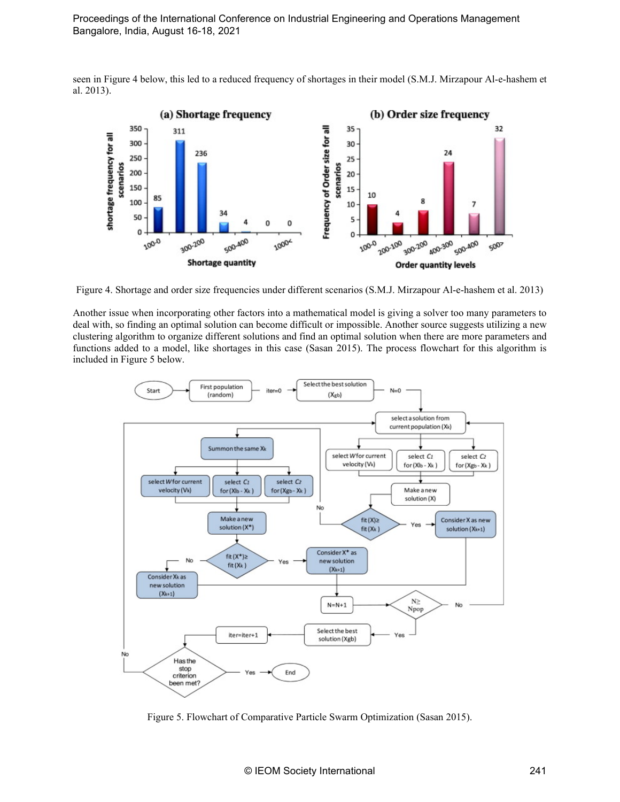seen in Figure 4 below, this led to a reduced frequency of shortages in their model (S.M.J. Mirzapour Al-e-hashem et al. 2013).



Figure 4. Shortage and order size frequencies under different scenarios (S.M.J. Mirzapour Al-e-hashem et al. 2013)

Another issue when incorporating other factors into a mathematical model is giving a solver too many parameters to deal with, so finding an optimal solution can become difficult or impossible. Another source suggests utilizing a new clustering algorithm to organize different solutions and find an optimal solution when there are more parameters and functions added to a model, like shortages in this case (Sasan 2015). The process flowchart for this algorithm is included in Figure 5 below.



Figure 5. Flowchart of Comparative Particle Swarm Optimization (Sasan 2015).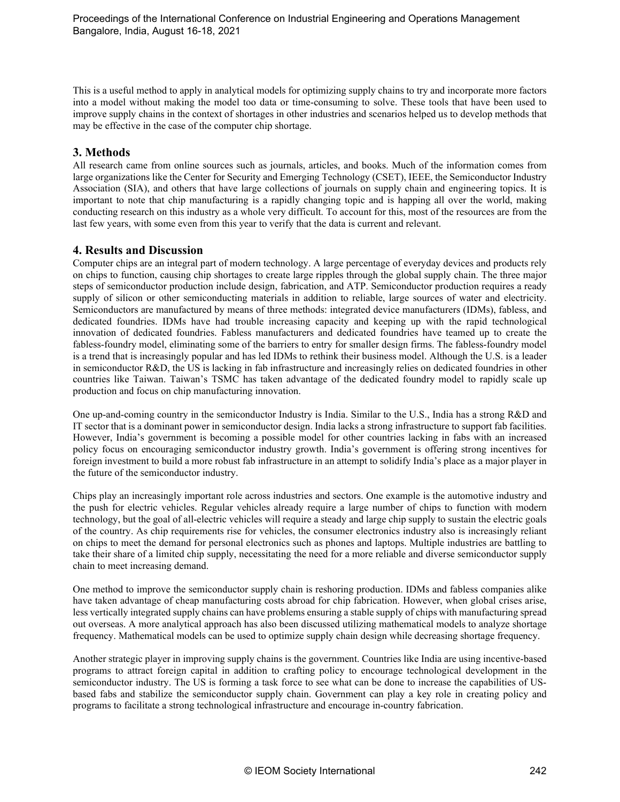This is a useful method to apply in analytical models for optimizing supply chains to try and incorporate more factors into a model without making the model too data or time-consuming to solve. These tools that have been used to improve supply chains in the context of shortages in other industries and scenarios helped us to develop methods that may be effective in the case of the computer chip shortage.

## **3. Methods**

All research came from online sources such as journals, articles, and books. Much of the information comes from large organizations like the Center for Security and Emerging Technology (CSET), IEEE, the Semiconductor Industry Association (SIA), and others that have large collections of journals on supply chain and engineering topics. It is important to note that chip manufacturing is a rapidly changing topic and is happing all over the world, making conducting research on this industry as a whole very difficult. To account for this, most of the resources are from the last few years, with some even from this year to verify that the data is current and relevant.

## **4. Results and Discussion**

Computer chips are an integral part of modern technology. A large percentage of everyday devices and products rely on chips to function, causing chip shortages to create large ripples through the global supply chain. The three major steps of semiconductor production include design, fabrication, and ATP. Semiconductor production requires a ready supply of silicon or other semiconducting materials in addition to reliable, large sources of water and electricity. Semiconductors are manufactured by means of three methods: integrated device manufacturers (IDMs), fabless, and dedicated foundries. IDMs have had trouble increasing capacity and keeping up with the rapid technological innovation of dedicated foundries. Fabless manufacturers and dedicated foundries have teamed up to create the fabless-foundry model, eliminating some of the barriers to entry for smaller design firms. The fabless-foundry model is a trend that is increasingly popular and has led IDMs to rethink their business model. Although the U.S. is a leader in semiconductor R&D, the US is lacking in fab infrastructure and increasingly relies on dedicated foundries in other countries like Taiwan. Taiwan's TSMC has taken advantage of the dedicated foundry model to rapidly scale up production and focus on chip manufacturing innovation.

One up-and-coming country in the semiconductor Industry is India. Similar to the U.S., India has a strong R&D and IT sector that is a dominant power in semiconductor design. India lacks a strong infrastructure to support fab facilities. However, India's government is becoming a possible model for other countries lacking in fabs with an increased policy focus on encouraging semiconductor industry growth. India's government is offering strong incentives for foreign investment to build a more robust fab infrastructure in an attempt to solidify India's place as a major player in the future of the semiconductor industry.

Chips play an increasingly important role across industries and sectors. One example is the automotive industry and the push for electric vehicles. Regular vehicles already require a large number of chips to function with modern technology, but the goal of all-electric vehicles will require a steady and large chip supply to sustain the electric goals of the country. As chip requirements rise for vehicles, the consumer electronics industry also is increasingly reliant on chips to meet the demand for personal electronics such as phones and laptops. Multiple industries are battling to take their share of a limited chip supply, necessitating the need for a more reliable and diverse semiconductor supply chain to meet increasing demand.

One method to improve the semiconductor supply chain is reshoring production. IDMs and fabless companies alike have taken advantage of cheap manufacturing costs abroad for chip fabrication. However, when global crises arise, less vertically integrated supply chains can have problems ensuring a stable supply of chips with manufacturing spread out overseas. A more analytical approach has also been discussed utilizing mathematical models to analyze shortage frequency. Mathematical models can be used to optimize supply chain design while decreasing shortage frequency.

Another strategic player in improving supply chains is the government. Countries like India are using incentive-based programs to attract foreign capital in addition to crafting policy to encourage technological development in the semiconductor industry. The US is forming a task force to see what can be done to increase the capabilities of USbased fabs and stabilize the semiconductor supply chain. Government can play a key role in creating policy and programs to facilitate a strong technological infrastructure and encourage in-country fabrication.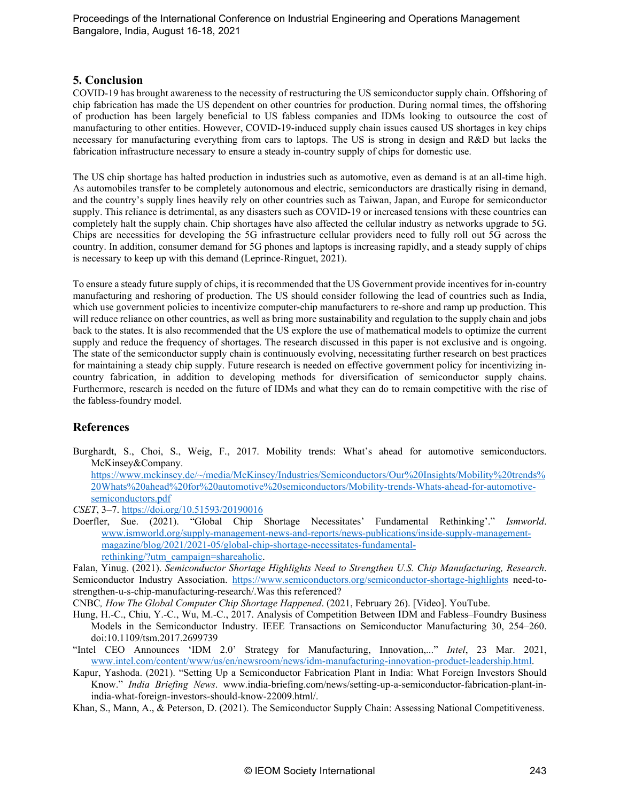### **5. Conclusion**

COVID-19 has brought awareness to the necessity of restructuring the US semiconductor supply chain. Offshoring of chip fabrication has made the US dependent on other countries for production. During normal times, the offshoring of production has been largely beneficial to US fabless companies and IDMs looking to outsource the cost of manufacturing to other entities. However, COVID-19-induced supply chain issues caused US shortages in key chips necessary for manufacturing everything from cars to laptops. The US is strong in design and R&D but lacks the fabrication infrastructure necessary to ensure a steady in-country supply of chips for domestic use.

The US chip shortage has halted production in industries such as automotive, even as demand is at an all-time high. As automobiles transfer to be completely autonomous and electric, semiconductors are drastically rising in demand, and the country's supply lines heavily rely on other countries such as Taiwan, Japan, and Europe for semiconductor supply. This reliance is detrimental, as any disasters such as COVID-19 or increased tensions with these countries can completely halt the supply chain. Chip shortages have also affected the cellular industry as networks upgrade to 5G. Chips are necessities for developing the 5G infrastructure cellular providers need to fully roll out 5G across the country. In addition, consumer demand for 5G phones and laptops is increasing rapidly, and a steady supply of chips is necessary to keep up with this demand (Leprince-Ringuet, 2021).

To ensure a steady future supply of chips, it is recommended that the US Government provide incentives for in-country manufacturing and reshoring of production. The US should consider following the lead of countries such as India, which use government policies to incentivize computer-chip manufacturers to re-shore and ramp up production. This will reduce reliance on other countries, as well as bring more sustainability and regulation to the supply chain and jobs back to the states. It is also recommended that the US explore the use of mathematical models to optimize the current supply and reduce the frequency of shortages. The research discussed in this paper is not exclusive and is ongoing. The state of the semiconductor supply chain is continuously evolving, necessitating further research on best practices for maintaining a steady chip supply. Future research is needed on effective government policy for incentivizing incountry fabrication, in addition to developing methods for diversification of semiconductor supply chains. Furthermore, research is needed on the future of IDMs and what they can do to remain competitive with the rise of the fabless-foundry model.

## **References**

Burghardt, S., Choi, S., Weig, F., 2017. Mobility trends: What's ahead for automotive semiconductors. McKinsey&Company.

[https://www.mckinsey.de/~/media/McKinsey/Industries/Semiconductors/Our%20Insights/Mobility%20trends%](https://www.mckinsey.de/%7E/media/McKinsey/Industries/Semiconductors/Our%20Insights/Mobility%20trends%20Whats%20ahead%20for%20automotive%20semiconductors/Mobility-trends-Whats-ahead-for-automotive-semiconductors.pdf) [20Whats%20ahead%20for%20automotive%20semiconductors/Mobility-trends-Whats-ahead-for-automotive](https://www.mckinsey.de/%7E/media/McKinsey/Industries/Semiconductors/Our%20Insights/Mobility%20trends%20Whats%20ahead%20for%20automotive%20semiconductors/Mobility-trends-Whats-ahead-for-automotive-semiconductors.pdf)[semiconductors.pdf](https://www.mckinsey.de/%7E/media/McKinsey/Industries/Semiconductors/Our%20Insights/Mobility%20trends%20Whats%20ahead%20for%20automotive%20semiconductors/Mobility-trends-Whats-ahead-for-automotive-semiconductors.pdf)

*CSET*, 3–7.<https://doi.org/10.51593/20190016>

Doerfler, Sue. (2021). "Global Chip Shortage Necessitates' Fundamental Rethinking'." *Ismworld*. www.ismworld.org/supply-management-news-and-reports/news-publications/inside-supply-managementmagazine/blog/2021/2021-05/global-chip-shortage-necessitates-fundamentalrethinking/?utm\_campaign=shareaholic.

Falan, Yinug. (2021). *Semiconductor Shortage Highlights Need to Strengthen U.S. Chip Manufacturing, Research*. Semiconductor Industry Association.<https://www.semiconductors.org/semiconductor-shortage-highlights> need-tostrengthen-u-s-chip-manufacturing-research/.Was this referenced?

CNBC*, How The Global Computer Chip Shortage Happened*. (2021, February 26). [Video]. YouTube.

- Hung, H.-C., Chiu, Y.-C., Wu, M.-C., 2017. Analysis of Competition Between IDM and Fabless–Foundry Business Models in the Semiconductor Industry. IEEE Transactions on Semiconductor Manufacturing 30, 254–260. doi:10.1109/tsm.2017.2699739
- "Intel CEO Announces 'IDM 2.0' Strategy for Manufacturing, Innovation,..." *Intel*, 23 Mar. 2021, [www.intel.com/content/www/us/en/newsroom/news/idm-manufacturing-innovation-product-leadership.html.](http://www.intel.com/content/www/us/en/newsroom/news/idm-manufacturing-innovation-product-leadership.html)
- Kapur, Yashoda. (2021). "Setting Up a Semiconductor Fabrication Plant in India: What Foreign Investors Should Know." *India Briefing News*. www.india-briefing.com/news/setting-up-a-semiconductor-fabrication-plant-inindia-what-foreign-investors-should-know-22009.html/.
- Khan, S., Mann, A., & Peterson, D. (2021). The Semiconductor Supply Chain: Assessing National Competitiveness.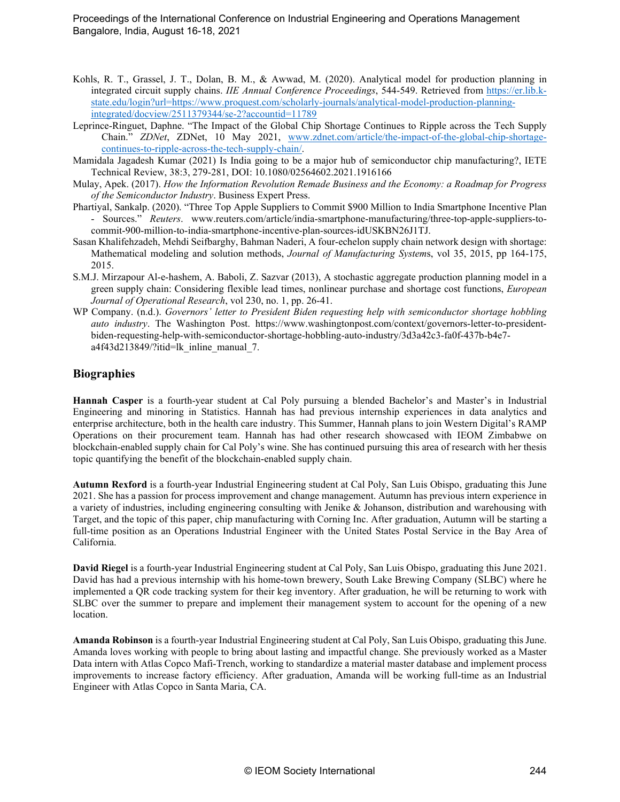- Kohls, R. T., Grassel, J. T., Dolan, B. M., & Awwad, M. (2020). Analytical model for production planning in integrated circuit supply chains. *IIE Annual Conference Proceedings*, 544-549. Retrieved from [https://er.lib.k](https://er.lib.k-state.edu/login?url=https://www.proquest.com/scholarly-journals/analytical-model-production-planning-integrated/docview/2511379344/se-2?accountid=11789)[state.edu/login?url=https://www.proquest.com/scholarly-journals/analytical-model-production-planning](https://er.lib.k-state.edu/login?url=https://www.proquest.com/scholarly-journals/analytical-model-production-planning-integrated/docview/2511379344/se-2?accountid=11789)[integrated/docview/2511379344/se-2?accountid=11789](https://er.lib.k-state.edu/login?url=https://www.proquest.com/scholarly-journals/analytical-model-production-planning-integrated/docview/2511379344/se-2?accountid=11789)
- Leprince-Ringuet, Daphne. "The Impact of the Global Chip Shortage Continues to Ripple across the Tech Supply Chain." *ZDNet*, ZDNet, 10 May 2021, www.zdnet.com/article/the-impact-of-the-global-chip-shortagecontinues-to-ripple-across-the-tech-supply-chain/.
- Mamidala Jagadesh Kumar (2021) Is India going to be a major hub of semiconductor chip manufacturing?, IETE Technical Review, 38:3, 279-281, DOI: 10.1080/02564602.2021.1916166
- Mulay, Apek. (2017). *How the Information Revolution Remade Business and the Economy: a Roadmap for Progress of the Semiconductor Industry*. Business Expert Press.
- Phartiyal, Sankalp. (2020). "Three Top Apple Suppliers to Commit \$900 Million to India Smartphone Incentive Plan - Sources." *Reuters*. www.reuters.com/article/india-smartphone-manufacturing/three-top-apple-suppliers-tocommit-900-million-to-india-smartphone-incentive-plan-sources-idUSKBN26J1TJ.
- Sasan Khalifehzadeh, Mehdi Seifbarghy, Bahman Naderi, A four-echelon supply chain network design with shortage: Mathematical modeling and solution methods, *Journal of Manufacturing System*s, vol 35, 2015, pp 164-175, 2015.
- S.M.J. Mirzapour Al-e-hashem, A. Baboli, Z. Sazvar (2013), A stochastic aggregate production planning model in a green supply chain: Considering flexible lead times, nonlinear purchase and shortage cost functions, *European Journal of Operational Research*, vol 230, no. 1, pp. 26-41.
- WP Company. (n.d.). *Governors' letter to President Biden requesting help with semiconductor shortage hobbling auto industry*. The Washington Post. https://www.washingtonpost.com/context/governors-letter-to-presidentbiden-requesting-help-with-semiconductor-shortage-hobbling-auto-industry/3d3a42c3-fa0f-437b-b4e7 a4f43d213849/?itid=lk\_inline\_manual\_7.

# **Biographies**

**Hannah Casper** is a fourth-year student at Cal Poly pursuing a blended Bachelor's and Master's in Industrial Engineering and minoring in Statistics. Hannah has had previous internship experiences in data analytics and enterprise architecture, both in the health care industry. This Summer, Hannah plans to join Western Digital's RAMP Operations on their procurement team. Hannah has had other research showcased with IEOM Zimbabwe on blockchain-enabled supply chain for Cal Poly's wine. She has continued pursuing this area of research with her thesis topic quantifying the benefit of the blockchain-enabled supply chain.

**Autumn Rexford** is a fourth-year Industrial Engineering student at Cal Poly, San Luis Obispo, graduating this June 2021. She has a passion for process improvement and change management. Autumn has previous intern experience in a variety of industries, including engineering consulting with Jenike & Johanson, distribution and warehousing with Target, and the topic of this paper, chip manufacturing with Corning Inc. After graduation, Autumn will be starting a full-time position as an Operations Industrial Engineer with the United States Postal Service in the Bay Area of California.

**David Riegel** is a fourth-year Industrial Engineering student at Cal Poly, San Luis Obispo, graduating this June 2021. David has had a previous internship with his home-town brewery, South Lake Brewing Company (SLBC) where he implemented a QR code tracking system for their keg inventory. After graduation, he will be returning to work with SLBC over the summer to prepare and implement their management system to account for the opening of a new location.

**Amanda Robinson** is a fourth-year Industrial Engineering student at Cal Poly, San Luis Obispo, graduating this June. Amanda loves working with people to bring about lasting and impactful change. She previously worked as a Master Data intern with Atlas Copco Mafi-Trench, working to standardize a material master database and implement process improvements to increase factory efficiency. After graduation, Amanda will be working full-time as an Industrial Engineer with Atlas Copco in Santa Maria, CA.